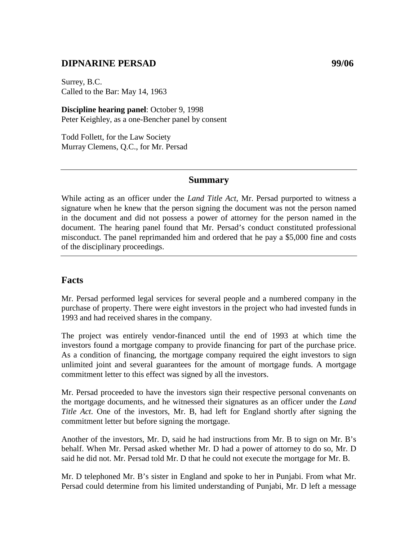## **DIPNARINE PERSAD 99/06**

Surrey, B.C. Called to the Bar: May 14, 1963

**Discipline hearing panel**: October 9, 1998 Peter Keighley, as a one-Bencher panel by consent

Todd Follett, for the Law Society Murray Clemens, Q.C., for Mr. Persad

#### **Summary**

While acting as an officer under the *Land Title Act*, Mr. Persad purported to witness a signature when he knew that the person signing the document was not the person named in the document and did not possess a power of attorney for the person named in the document. The hearing panel found that Mr. Persad's conduct constituted professional misconduct. The panel reprimanded him and ordered that he pay a \$5,000 fine and costs of the disciplinary proceedings.

#### **Facts**

Mr. Persad performed legal services for several people and a numbered company in the purchase of property. There were eight investors in the project who had invested funds in 1993 and had received shares in the company.

The project was entirely vendor-financed until the end of 1993 at which time the investors found a mortgage company to provide financing for part of the purchase price. As a condition of financing, the mortgage company required the eight investors to sign unlimited joint and several guarantees for the amount of mortgage funds. A mortgage commitment letter to this effect was signed by all the investors.

Mr. Persad proceeded to have the investors sign their respective personal convenants on the mortgage documents, and he witnessed their signatures as an officer under the *Land Title Act*. One of the investors, Mr. B, had left for England shortly after signing the commitment letter but before signing the mortgage.

Another of the investors, Mr. D, said he had instructions from Mr. B to sign on Mr. B's behalf. When Mr. Persad asked whether Mr. D had a power of attorney to do so, Mr. D said he did not. Mr. Persad told Mr. D that he could not execute the mortgage for Mr. B.

Mr. D telephoned Mr. B's sister in England and spoke to her in Punjabi. From what Mr. Persad could determine from his limited understanding of Punjabi, Mr. D left a message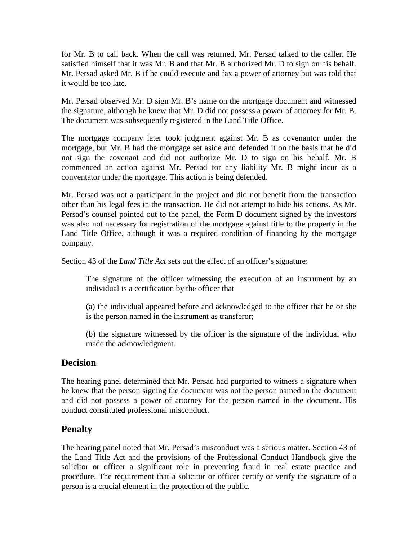for Mr. B to call back. When the call was returned, Mr. Persad talked to the caller. He satisfied himself that it was Mr. B and that Mr. B authorized Mr. D to sign on his behalf. Mr. Persad asked Mr. B if he could execute and fax a power of attorney but was told that it would be too late.

Mr. Persad observed Mr. D sign Mr. B's name on the mortgage document and witnessed the signature, although he knew that Mr. D did not possess a power of attorney for Mr. B. The document was subsequently registered in the Land Title Office.

The mortgage company later took judgment against Mr. B as covenantor under the mortgage, but Mr. B had the mortgage set aside and defended it on the basis that he did not sign the covenant and did not authorize Mr. D to sign on his behalf. Mr. B commenced an action against Mr. Persad for any liability Mr. B might incur as a conventator under the mortgage. This action is being defended.

Mr. Persad was not a participant in the project and did not benefit from the transaction other than his legal fees in the transaction. He did not attempt to hide his actions. As Mr. Persad's counsel pointed out to the panel, the Form D document signed by the investors was also not necessary for registration of the mortgage against title to the property in the Land Title Office, although it was a required condition of financing by the mortgage company.

Section 43 of the *Land Title Act* sets out the effect of an officer's signature:

The signature of the officer witnessing the execution of an instrument by an individual is a certification by the officer that

(a) the individual appeared before and acknowledged to the officer that he or she is the person named in the instrument as transferor;

(b) the signature witnessed by the officer is the signature of the individual who made the acknowledgment.

### **Decision**

The hearing panel determined that Mr. Persad had purported to witness a signature when he knew that the person signing the document was not the person named in the document and did not possess a power of attorney for the person named in the document. His conduct constituted professional misconduct.

# **Penalty**

The hearing panel noted that Mr. Persad's misconduct was a serious matter. Section 43 of the Land Title Act and the provisions of the Professional Conduct Handbook give the solicitor or officer a significant role in preventing fraud in real estate practice and procedure. The requirement that a solicitor or officer certify or verify the signature of a person is a crucial element in the protection of the public.